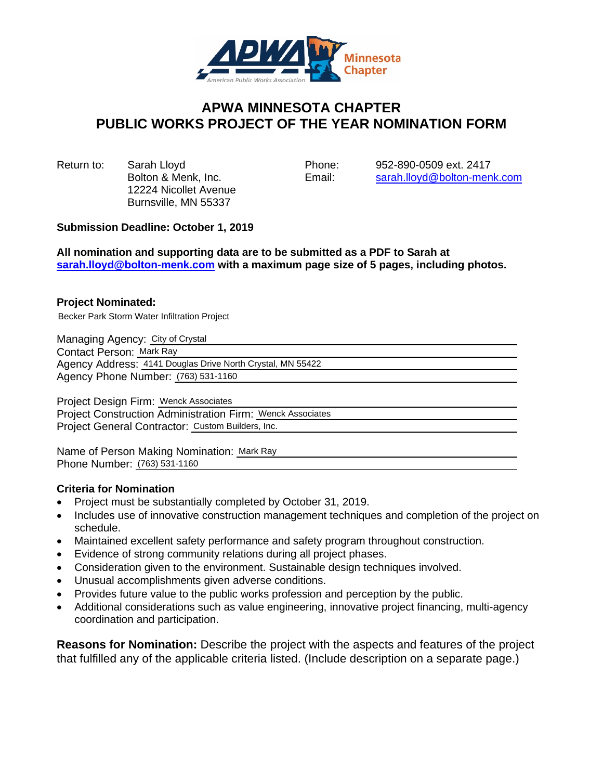

## **APWA MINNESOTA CHAPTER PUBLIC WORKS PROJECT OF THE YEAR NOMINATION FORM**

Return to: Sarah Lloyd Phone: 952-890-0509 ext. 2417 12224 Nicollet Avenue Burnsville, MN 55337

Bolton & Menk, Inc. Email: [sarah.lloyd@bolton-menk.com](mailto:sarah.lloyd@bolton-menk.com)

## **Submission Deadline: October 1, 2019**

**All nomination and supporting data are to be submitted as a PDF to Sarah at [sarah.lloyd@bolton-menk.com](mailto:sarah.lloyd@bolton-menk.com) with a maximum page size of 5 pages, including photos.**

## **Project Nominated:**

Becker Park Storm Water Infiltration Project

Managing Agency: City of Crystal

Contact Person: Mark Ray

Agency Address: 4141 Douglas Drive North Crystal, MN 55422

Agency Phone Number: (763) 531-1160

Project Design Firm: Wenck Associates

Project Construction Administration Firm: Wenck Associates Project General Contractor: Custom Builders, Inc.

Name of Person Making Nomination: Mark Ray Phone Number: (763) 531-1160

## **Criteria for Nomination**

- Project must be substantially completed by October 31, 2019.
- Includes use of innovative construction management techniques and completion of the project on schedule.
- Maintained excellent safety performance and safety program throughout construction.
- Evidence of strong community relations during all project phases.
- Consideration given to the environment. Sustainable design techniques involved.
- Unusual accomplishments given adverse conditions.
- Provides future value to the public works profession and perception by the public.
- Additional considerations such as value engineering, innovative project financing, multi-agency coordination and participation.

**Reasons for Nomination:** Describe the project with the aspects and features of the project that fulfilled any of the applicable criteria listed. (Include description on a separate page.)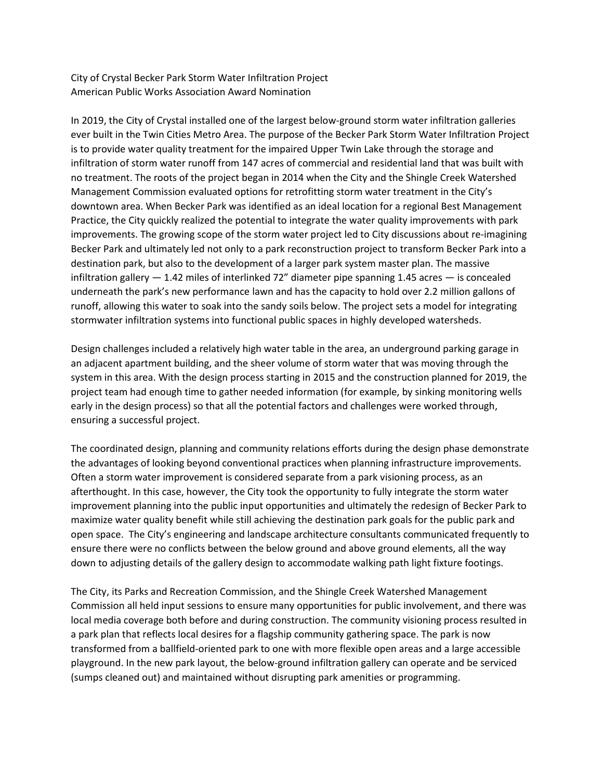City of Crystal Becker Park Storm Water Infiltration Project American Public Works Association Award Nomination

In 2019, the City of Crystal installed one of the largest below-ground storm water infiltration galleries ever built in the Twin Cities Metro Area. The purpose of the Becker Park Storm Water Infiltration Project is to provide water quality treatment for the impaired Upper Twin Lake through the storage and infiltration of storm water runoff from 147 acres of commercial and residential land that was built with no treatment. The roots of the project began in 2014 when the City and the Shingle Creek Watershed Management Commission evaluated options for retrofitting storm water treatment in the City's downtown area. When Becker Park was identified as an ideal location for a regional Best Management Practice, the City quickly realized the potential to integrate the water quality improvements with park improvements. The growing scope of the storm water project led to City discussions about re-imagining Becker Park and ultimately led not only to a park reconstruction project to transform Becker Park into a destination park, but also to the development of a larger park system master plan. The massive infiltration gallery  $-1.42$  miles of interlinked 72" diameter pipe spanning 1.45 acres  $-$  is concealed underneath the park's new performance lawn and has the capacity to hold over 2.2 million gallons of runoff, allowing this water to soak into the sandy soils below. The project sets a model for integrating stormwater infiltration systems into functional public spaces in highly developed watersheds.

Design challenges included a relatively high water table in the area, an underground parking garage in an adjacent apartment building, and the sheer volume of storm water that was moving through the system in this area. With the design process starting in 2015 and the construction planned for 2019, the project team had enough time to gather needed information (for example, by sinking monitoring wells early in the design process) so that all the potential factors and challenges were worked through, ensuring a successful project.

The coordinated design, planning and community relations efforts during the design phase demonstrate the advantages of looking beyond conventional practices when planning infrastructure improvements. Often a storm water improvement is considered separate from a park visioning process, as an afterthought. In this case, however, the City took the opportunity to fully integrate the storm water improvement planning into the public input opportunities and ultimately the redesign of Becker Park to maximize water quality benefit while still achieving the destination park goals for the public park and open space. The City's engineering and landscape architecture consultants communicated frequently to ensure there were no conflicts between the below ground and above ground elements, all the way down to adjusting details of the gallery design to accommodate walking path light fixture footings.

The City, its Parks and Recreation Commission, and the Shingle Creek Watershed Management Commission all held input sessions to ensure many opportunities for public involvement, and there was local media coverage both before and during construction. The community visioning process resulted in a park plan that reflects local desires for a flagship community gathering space. The park is now transformed from a ballfield-oriented park to one with more flexible open areas and a large accessible playground. In the new park layout, the below-ground infiltration gallery can operate and be serviced (sumps cleaned out) and maintained without disrupting park amenities or programming.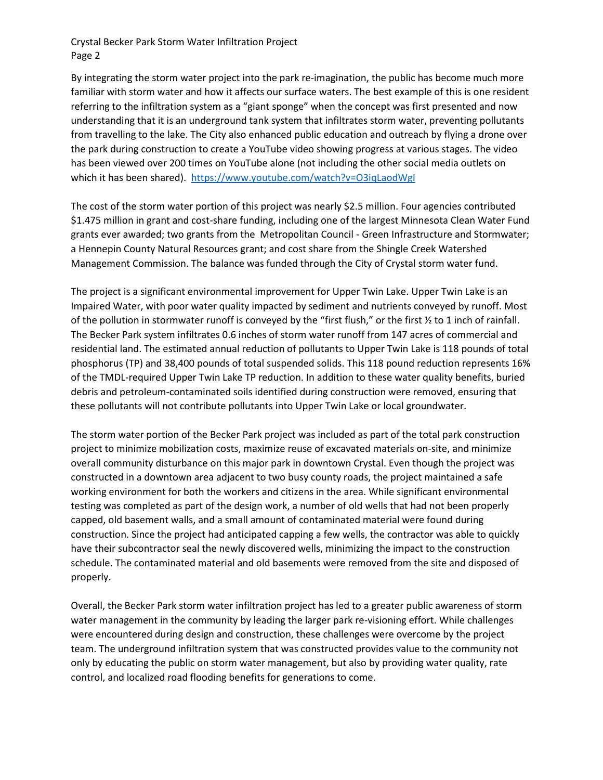Crystal Becker Park Storm Water Infiltration Project Page 2

By integrating the storm water project into the park re-imagination, the public has become much more familiar with storm water and how it affects our surface waters. The best example of this is one resident referring to the infiltration system as a "giant sponge" when the concept was first presented and now understanding that it is an underground tank system that infiltrates storm water, preventing pollutants from travelling to the lake. The City also enhanced public education and outreach by flying a drone over the park during construction to create a YouTube video showing progress at various stages. The video has been viewed over 200 times on YouTube alone (not including the other social media outlets on which it has been shared). <https://www.youtube.com/watch?v=O3iqLaodWgI>

The cost of the storm water portion of this project was nearly \$2.5 million. Four agencies contributed \$1.475 million in grant and cost-share funding, including one of the largest Minnesota Clean Water Fund grants ever awarded; two grants from the Metropolitan Council - Green Infrastructure and Stormwater; a Hennepin County Natural Resources grant; and cost share from the Shingle Creek Watershed Management Commission. The balance was funded through the City of Crystal storm water fund.

The project is a significant environmental improvement for Upper Twin Lake. Upper Twin Lake is an Impaired Water, with poor water quality impacted by sediment and nutrients conveyed by runoff. Most of the pollution in stormwater runoff is conveyed by the "first flush," or the first  $\frac{1}{2}$  to 1 inch of rainfall. The Becker Park system infiltrates 0.6 inches of storm water runoff from 147 acres of commercial and residential land. The estimated annual reduction of pollutants to Upper Twin Lake is 118 pounds of total phosphorus (TP) and 38,400 pounds of total suspended solids. This 118 pound reduction represents 16% of the TMDL-required Upper Twin Lake TP reduction. In addition to these water quality benefits, buried debris and petroleum-contaminated soils identified during construction were removed, ensuring that these pollutants will not contribute pollutants into Upper Twin Lake or local groundwater.

The storm water portion of the Becker Park project was included as part of the total park construction project to minimize mobilization costs, maximize reuse of excavated materials on-site, and minimize overall community disturbance on this major park in downtown Crystal. Even though the project was constructed in a downtown area adjacent to two busy county roads, the project maintained a safe working environment for both the workers and citizens in the area. While significant environmental testing was completed as part of the design work, a number of old wells that had not been properly capped, old basement walls, and a small amount of contaminated material were found during construction. Since the project had anticipated capping a few wells, the contractor was able to quickly have their subcontractor seal the newly discovered wells, minimizing the impact to the construction schedule. The contaminated material and old basements were removed from the site and disposed of properly.

Overall, the Becker Park storm water infiltration project has led to a greater public awareness of storm water management in the community by leading the larger park re-visioning effort. While challenges were encountered during design and construction, these challenges were overcome by the project team. The underground infiltration system that was constructed provides value to the community not only by educating the public on storm water management, but also by providing water quality, rate control, and localized road flooding benefits for generations to come.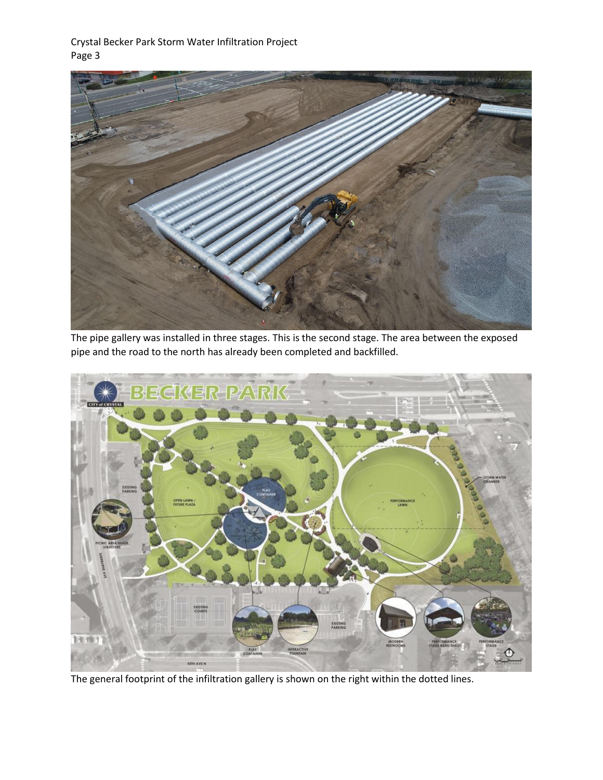Crystal Becker Park Storm Water Infiltration Project Page 3



The pipe gallery was installed in three stages. This is the second stage. The area between the exposed pipe and the road to the north has already been completed and backfilled.



The general footprint of the infiltration gallery is shown on the right within the dotted lines.